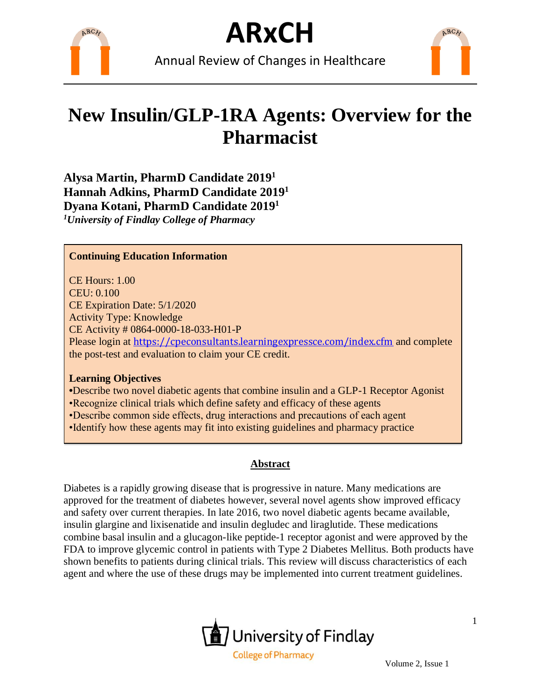

Annual Review of Changes in Healthcare



## **New Insulin/GLP-1RA Agents: Overview for the Pharmacist**

**Alysa Martin, PharmD Candidate 2019 1 Hannah Adkins, PharmD Candidate 2019 1 Dyana Kotani, PharmD Candidate 2019 1** *<sup>1</sup>University of Findlay College of Pharmacy*

### **Continuing Education Information**

CE Hours: 1.00 CEU: 0.100 CE Expiration Date: 5/1/2020 Activity Type: Knowledge CE Activity # 0864-0000-18-033-H01-P Please login at <https://cpeconsultants.learningexpressce.com/index.cfm> and complete the post-test and evaluation to claim your CE credit.

#### **Learning Objectives**

**•**Describe two novel diabetic agents that combine insulin and a GLP-1 Receptor Agonist

•Recognize clinical trials which define safety and efficacy of these agents

- •Describe common side effects, drug interactions and precautions of each agent
- •Identify how these agents may fit into existing guidelines and pharmacy practice

### **Abstract**

Diabetes is a rapidly growing disease that is progressive in nature. Many medications are approved for the treatment of diabetes however, several novel agents show improved efficacy and safety over current therapies. In late 2016, two novel diabetic agents became available, insulin glargine and lixisenatide and insulin degludec and liraglutide. These medications combine basal insulin and a glucagon-like peptide-1 receptor agonist and were approved by the FDA to improve glycemic control in patients with Type 2 Diabetes Mellitus. Both products have shown benefits to patients during clinical trials. This review will discuss characteristics of each agent and where the use of these drugs may be implemented into current treatment guidelines.

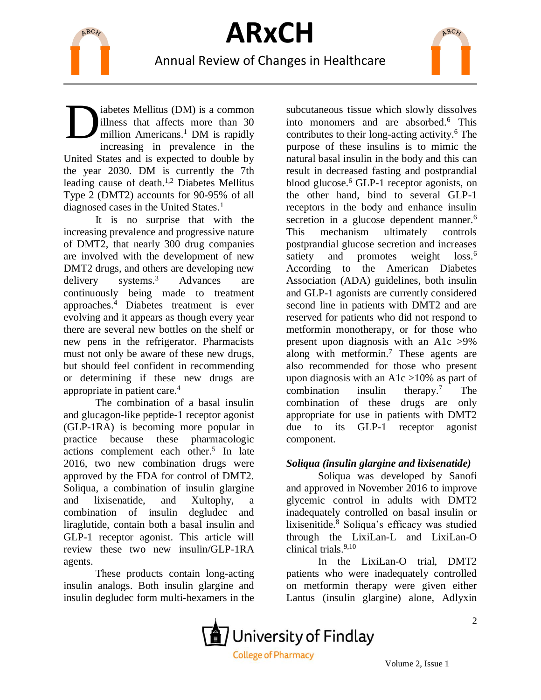



Annual Review of Changes in Healthcare

iabetes Mellitus (DM) is a common illness that affects more than 30 million Americans.<sup>1</sup> DM is rapidly increasing in prevalence in the United States and is expected to double by the year 2030. DM is currently the 7th leading cause of death. 1,2 Diabetes Mellitus Type 2 (DMT2) accounts for 90-95% of all diagnosed cases in the United States.<sup>1</sup> D

It is no surprise that with the increasing prevalence and progressive nature of DMT2, that nearly 300 drug companies are involved with the development of new DMT2 drugs, and others are developing new delivery systems.<sup>3</sup> Advances are continuously being made to treatment approaches.<sup>4</sup> Diabetes treatment is ever evolving and it appears as though every year there are several new bottles on the shelf or new pens in the refrigerator. Pharmacists must not only be aware of these new drugs, but should feel confident in recommending or determining if these new drugs are appropriate in patient care.<sup>4</sup>

The combination of a basal insulin and glucagon-like peptide-1 receptor agonist (GLP-1RA) is becoming more popular in practice because these pharmacologic actions complement each other.<sup>5</sup> In late 2016, two new combination drugs were approved by the FDA for control of DMT2. Soliqua, a combination of insulin glargine and lixisenatide, and Xultophy, a combination of insulin degludec and liraglutide, contain both a basal insulin and GLP-1 receptor agonist. This article will review these two new insulin/GLP-1RA agents.

These products contain long-acting insulin analogs. Both insulin glargine and insulin degludec form multi-hexamers in the

subcutaneous tissue which slowly dissolves into monomers and are absorbed.<sup>6</sup> This contributes to their long-acting activity.<sup>6</sup> The purpose of these insulins is to mimic the natural basal insulin in the body and this can result in decreased fasting and postprandial blood glucose.<sup>6</sup> GLP-1 receptor agonists, on the other hand, bind to several GLP-1 receptors in the body and enhance insulin secretion in a glucose dependent manner.<sup>6</sup> This mechanism ultimately controls postprandial glucose secretion and increases satiety and promotes weight loss.<sup>6</sup> According to the American Diabetes Association (ADA) guidelines, both insulin and GLP-1 agonists are currently considered second line in patients with DMT2 and are reserved for patients who did not respond to metformin monotherapy, or for those who present upon diagnosis with an A1c >9% along with metformin.<sup>7</sup> These agents are also recommended for those who present upon diagnosis with an A1c  $>10\%$  as part of combination insulin therapy. <sup>7</sup> The combination of these drugs are only appropriate for use in patients with DMT2 due to its GLP-1 receptor agonist component.

ARCH

### *Soliqua (insulin glargine and lixisenatide)*

Soliqua was developed by Sanofi and approved in November 2016 to improve glycemic control in adults with DMT2 inadequately controlled on basal insulin or lixisenitide.<sup>8</sup> Soliqua's efficacy was studied through the LixiLan-L and LixiLan-O clinical trials.9,10

In the LixiLan-O trial, DMT2 patients who were inadequately controlled on metformin therapy were given either Lantus (insulin glargine) alone, Adlyxin



 $\overline{2}$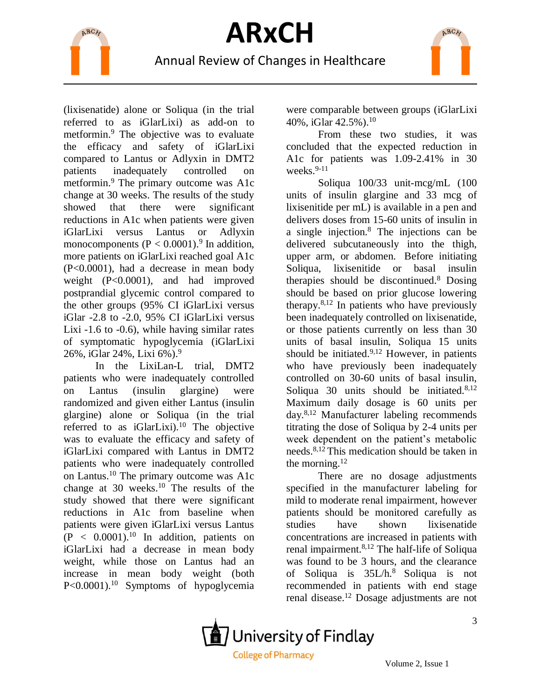



(lixisenatide) alone or Soliqua (in the trial referred to as iGlarLixi) as add-on to metformin. <sup>9</sup> The objective was to evaluate the efficacy and safety of iGlarLixi compared to Lantus or Adlyxin in DMT2 patients inadequately controlled on metformin.<sup>9</sup> The primary outcome was A1c change at 30 weeks. The results of the study showed that there were significant reductions in A1c when patients were given iGlarLixi versus Lantus or Adlyxin monocomponents  $(P < 0.0001)^9$  In addition, more patients on iGlarLixi reached goal A1c (P<0.0001), had a decrease in mean body weight (P<0.0001), and had improved postprandial glycemic control compared to the other groups (95% CI iGlarLixi versus iGlar -2.8 to -2.0, 95% CI iGlarLixi versus Lixi -1.6 to -0.6), while having similar rates of symptomatic hypoglycemia (iGlarLixi 26%, iGlar 24%, Lixi 6%). 9

In the LixiLan-L trial, DMT2 patients who were inadequately controlled on Lantus (insulin glargine) were randomized and given either Lantus (insulin glargine) alone or Soliqua (in the trial referred to as  $iGlarLixi$ .<sup>10</sup> The objective was to evaluate the efficacy and safety of iGlarLixi compared with Lantus in DMT2 patients who were inadequately controlled on Lantus.<sup>10</sup> The primary outcome was A1c change at 30 weeks.<sup>10</sup> The results of the study showed that there were significant reductions in A1c from baseline when patients were given iGlarLixi versus Lantus  $(P < 0.0001).$ <sup>10</sup> In addition, patients on iGlarLixi had a decrease in mean body weight, while those on Lantus had an increase in mean body weight (both P<0.0001).<sup>10</sup> Symptoms of hypoglycemia

were comparable between groups (iGlarLixi 40%, iGlar 42.5%). 10

From these two studies, it was concluded that the expected reduction in A1c for patients was 1.09-2.41% in 30 weeks. $9-11$ 

Soliqua 100/33 unit-mcg/mL (100 units of insulin glargine and 33 mcg of lixisenitide per mL) is available in a pen and delivers doses from 15-60 units of insulin in a single injection.<sup>8</sup> The injections can be delivered subcutaneously into the thigh, upper arm, or abdomen. Before initiating Soliqua, lixisenitide or basal insulin therapies should be discontinued.<sup>8</sup> Dosing should be based on prior glucose lowering therapy. $8,12$  In patients who have previously been inadequately controlled on lixisenatide, or those patients currently on less than 30 units of basal insulin, Soliqua 15 units should be initiated. $9,12$  However, in patients who have previously been inadequately controlled on 30-60 units of basal insulin, Soliqua 30 units should be initiated.<sup>8,12</sup> Maximum daily dosage is 60 units per day.8,12 Manufacturer labeling recommends titrating the dose of Soliqua by 2-4 units per week dependent on the patient's metabolic needs.8,12 This medication should be taken in the morning. $12$ 

There are no dosage adjustments specified in the manufacturer labeling for mild to moderate renal impairment, however patients should be monitored carefully as studies have shown lixisenatide concentrations are increased in patients with renal impairment.8,12 The half-life of Soliqua was found to be 3 hours, and the clearance of Soliqua is 35L/h.<sup>8</sup> Soliqua is not recommended in patients with end stage renal disease.<sup>12</sup> Dosage adjustments are not

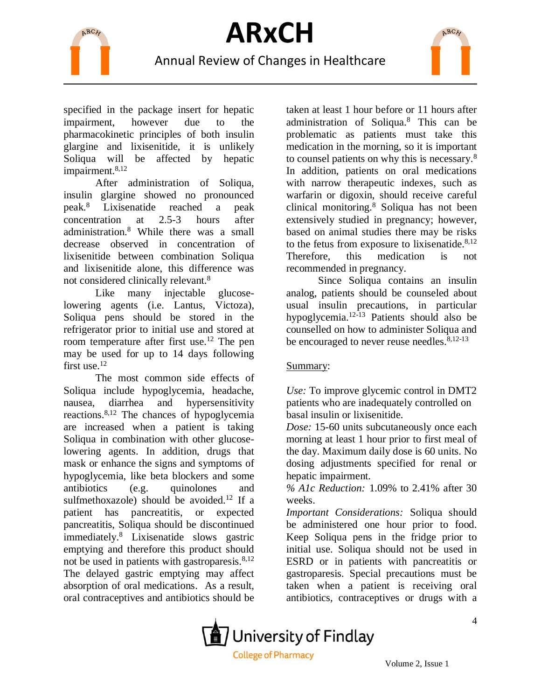

Annual Review of Changes in Healthcare

specified in the package insert for hepatic impairment, however due to the pharmacokinetic principles of both insulin glargine and lixisenitide, it is unlikely Soliqua will be affected by hepatic impairment.<sup>8,12</sup>

After administration of Soliqua, insulin glargine showed no pronounced peak.<sup>8</sup> Lixisenatide reached a peak concentration at 2.5-3 hours after administration.<sup>8</sup> While there was a small decrease observed in concentration of lixisenitide between combination Soliqua and lixisenitide alone, this difference was not considered clinically relevant.<sup>8</sup>

Like many injectable glucoselowering agents (i.e. Lantus, Victoza), Soliqua pens should be stored in the refrigerator prior to initial use and stored at room temperature after first use.<sup>12</sup> The pen may be used for up to 14 days following first use.<sup>12</sup>

The most common side effects of Soliqua include hypoglycemia, headache, nausea, diarrhea and hypersensitivity reactions.8,12 The chances of hypoglycemia are increased when a patient is taking Soliqua in combination with other glucoselowering agents. In addition, drugs that mask or enhance the signs and symptoms of hypoglycemia, like beta blockers and some antibiotics (e.g. quinolones and sulfmethoxazole) should be avoided.<sup>12</sup> If a patient has pancreatitis, or expected pancreatitis, Soliqua should be discontinued immediately.<sup>8</sup> Lixisenatide slows gastric emptying and therefore this product should not be used in patients with gastroparesis. $8,12$ The delayed gastric emptying may affect absorption of oral medications. As a result, oral contraceptives and antibiotics should be

taken at least 1 hour before or 11 hours after administration of Soliqua.<sup>8</sup> This can be problematic as patients must take this medication in the morning, so it is important to counsel patients on why this is necessary.<sup>8</sup> In addition, patients on oral medications with narrow therapeutic indexes, such as warfarin or digoxin, should receive careful clinical monitoring.<sup>8</sup> Soliqua has not been extensively studied in pregnancy; however, based on animal studies there may be risks to the fetus from exposure to lixisenatide. $8,12$ Therefore, this medication is not recommended in pregnancy.

ARCH

Since Soliqua contains an insulin analog, patients should be counseled about usual insulin precautions, in particular hypoglycemia.12-13 Patients should also be counselled on how to administer Soliqua and be encouraged to never reuse needles. $8,12-13$ 

### Summary:

*Use:* To improve glycemic control in DMT2 patients who are inadequately controlled on basal insulin or lixisenitide.

*Dose:* 15-60 units subcutaneously once each morning at least 1 hour prior to first meal of the day. Maximum daily dose is 60 units. No dosing adjustments specified for renal or hepatic impairment.

*% A1c Reduction:* 1.09% to 2.41% after 30 weeks.

*Important Considerations:* Soliqua should be administered one hour prior to food. Keep Soliqua pens in the fridge prior to initial use. Soliqua should not be used in ESRD or in patients with pancreatitis or gastroparesis. Special precautions must be taken when a patient is receiving oral antibiotics, contraceptives or drugs with a



4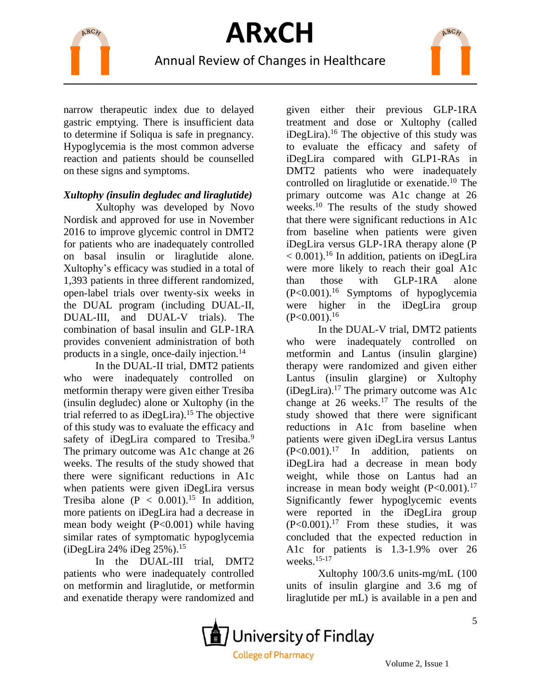

## Annual Review of Changes in Healthcare



narrow therapeutic index due to delayed gastric emptying. There is insufficient data to determine if Soliqua is safe in pregnancy. Hypoglycemia is the most common adverse reaction and patients should be counselled on these signs and symptoms.

### *Xultophy (insulin degludec and liraglutide)*

Xultophy was developed by Novo Nordisk and approved for use in November 2016 to improve glycemic control in DMT2 for patients who are inadequately controlled on basal insulin or liraglutide alone. Xultophy's efficacy was studied in a total of 1,393 patients in three different randomized, open-label trials over twenty-six weeks in the DUAL program (including DUAL-II, DUAL-III, and DUAL-V trials). The combination of basal insulin and GLP-1RA provides convenient administration of both products in a single, once-daily injection.<sup>14</sup>

In the DUAL-II trial, DMT2 patients who were inadequately controlled on metformin therapy were given either Tresiba (insulin degludec) alone or Xultophy (in the trial referred to as iDegLira).<sup>15</sup> The objective of this study was to evaluate the efficacy and safety of iDegLira compared to Tresiba.<sup>9</sup> The primary outcome was A1c change at 26 weeks. The results of the study showed that there were significant reductions in A1c when patients were given iDegLira versus Tresiba alone ( $P < 0.001$ ).<sup>15</sup> In addition, more patients on iDegLira had a decrease in mean body weight (P<0.001) while having similar rates of symptomatic hypoglycemia (iDegLira 24% iDeg 25%). 15

In the DUAL-III trial, DMT2 patients who were inadequately controlled on metformin and liraglutide, or metformin and exenatide therapy were randomized and

given either their previous GLP-1RA treatment and dose or Xultophy (called  $i$ DegLira).<sup>16</sup> The objective of this study was to evaluate the efficacy and safety of iDegLira compared with GLP1-RAs in DMT2 patients who were inadequately controlled on liraglutide or exenatide.<sup>10</sup> The primary outcome was A1c change at 26 weeks.<sup>10</sup> The results of the study showed that there were significant reductions in A1c from baseline when patients were given iDegLira versus GLP-1RA therapy alone (P  $< 0.001$ ).<sup>16</sup> In addition, patients on iDegLira were more likely to reach their goal A1c than those with GLP-1RA alone  $(P<0.001)$ .<sup>16</sup> Symptoms of hypoglycemia were higher in the iDegLira group  $(P<0.001).$ <sup>16</sup>

In the DUAL-V trial, DMT2 patients who were inadequately controlled on metformin and Lantus (insulin glargine) therapy were randomized and given either Lantus (insulin glargine) or Xultophy  $(iDegLira).<sup>17</sup>$  The primary outcome was A1c change at  $26$  weeks.<sup>17</sup> The results of the study showed that there were significant reductions in A1c from baseline when patients were given iDegLira versus Lantus  $(P<0.001)$ .<sup>17</sup> In addition, patients on iDegLira had a decrease in mean body weight, while those on Lantus had an increase in mean body weight  $(P<0.001)$ .<sup>17</sup> Significantly fewer hypoglycemic events were reported in the iDegLira group  $(P<0.001)$ .<sup>17</sup> From these studies, it was concluded that the expected reduction in A1c for patients is 1.3-1.9% over 26 weeks.15-17

Xultophy 100/3.6 units-mg/mL (100 units of insulin glargine and 3.6 mg of liraglutide per mL) is available in a pen and

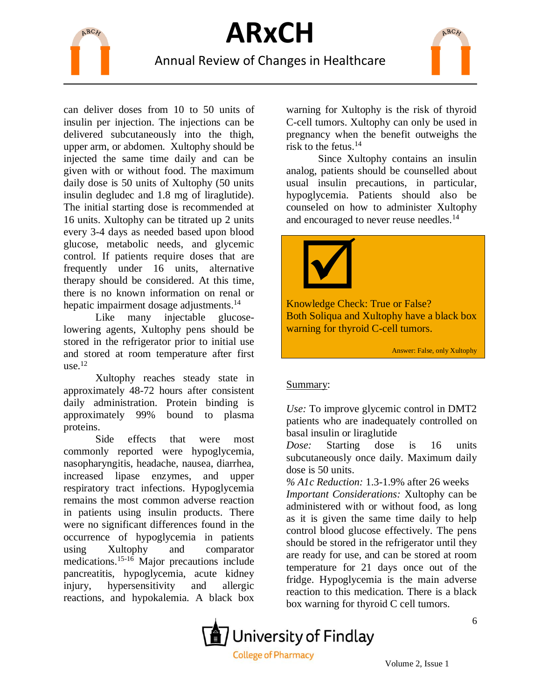

## Annual Review of Changes in Healthcare

ARCH

can deliver doses from 10 to 50 units of insulin per injection. The injections can be delivered subcutaneously into the thigh, upper arm, or abdomen. Xultophy should be injected the same time daily and can be given with or without food. The maximum daily dose is 50 units of Xultophy (50 units insulin degludec and 1.8 mg of liraglutide). The initial starting dose is recommended at 16 units. Xultophy can be titrated up 2 units every 3-4 days as needed based upon blood glucose, metabolic needs, and glycemic control. If patients require doses that are frequently under 16 units, alternative therapy should be considered. At this time, there is no known information on renal or hepatic impairment dosage adjustments.<sup>14</sup>

Like many injectable glucoselowering agents, Xultophy pens should be stored in the refrigerator prior to initial use and stored at room temperature after first  $use<sup>12</sup>$ 

Xultophy reaches steady state in approximately 48-72 hours after consistent daily administration. Protein binding is approximately 99% bound to plasma proteins.

Side effects that were most commonly reported were hypoglycemia, nasopharyngitis, headache, nausea, diarrhea, increased lipase enzymes, and upper respiratory tract infections. Hypoglycemia remains the most common adverse reaction in patients using insulin products. There were no significant differences found in the occurrence of hypoglycemia in patients using Xultophy and comparator medications.15-16 Major precautions include pancreatitis, hypoglycemia, acute kidney injury, hypersensitivity and allergic reactions, and hypokalemia. A black box

warning for Xultophy is the risk of thyroid C-cell tumors. Xultophy can only be used in pregnancy when the benefit outweighs the risk to the fetus.<sup>14</sup>

Since Xultophy contains an insulin analog, patients should be counselled about usual insulin precautions, in particular, hypoglycemia. Patients should also be counseled on how to administer Xultophy and encouraged to never reuse needles.<sup>14</sup>



Knowledge Check: True or False? Both Soliqua and Xultophy have a black box warning for thyroid C-cell tumors.

Answer: False, only Xultophy

### Summary:

*Use:* To improve glycemic control in DMT2 patients who are inadequately controlled on basal insulin or liraglutide

*Dose:* Starting dose is 16 units subcutaneously once daily. Maximum daily dose is 50 units.

*% A1c Reduction:* 1.3-1.9% after 26 weeks *Important Considerations:* Xultophy can be administered with or without food, as long as it is given the same time daily to help control blood glucose effectively. The pens should be stored in the refrigerator until they are ready for use, and can be stored at room temperature for 21 days once out of the fridge. Hypoglycemia is the main adverse reaction to this medication. There is a black box warning for thyroid C cell tumors.

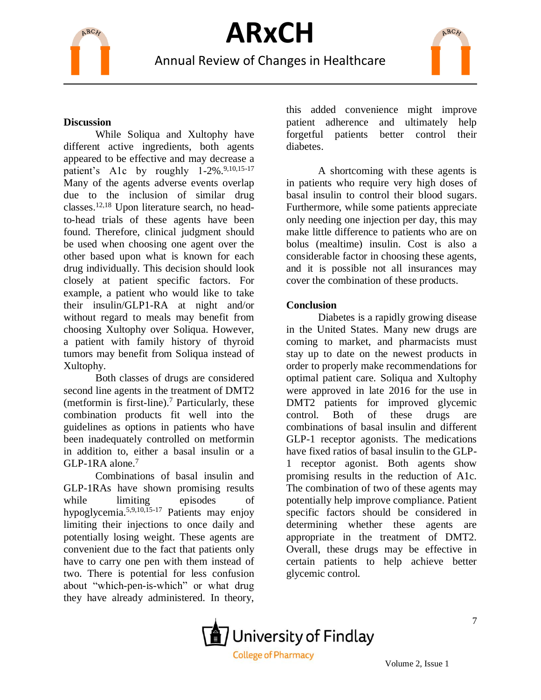

Annual Review of Changes in Healthcare



### **Discussion**

While Soliqua and Xultophy have different active ingredients, both agents appeared to be effective and may decrease a patient's A1c by roughly 1-2%.<sup>9,10,15-17</sup> Many of the agents adverse events overlap due to the inclusion of similar drug classes.12,18 Upon literature search, no headto-head trials of these agents have been found. Therefore, clinical judgment should be used when choosing one agent over the other based upon what is known for each drug individually. This decision should look closely at patient specific factors. For example, a patient who would like to take their insulin/GLP1-RA at night and/or without regard to meals may benefit from choosing Xultophy over Soliqua. However, a patient with family history of thyroid tumors may benefit from Soliqua instead of Xultophy.

Both classes of drugs are considered second line agents in the treatment of DMT2 (metformin is first-line). <sup>7</sup> Particularly, these combination products fit well into the guidelines as options in patients who have been inadequately controlled on metformin in addition to, either a basal insulin or a GLP-1RA alone.<sup>7</sup>

Combinations of basal insulin and GLP-1RAs have shown promising results while limiting episodes of hypoglycemia.5,9,10,15-17 Patients may enjoy limiting their injections to once daily and potentially losing weight. These agents are convenient due to the fact that patients only have to carry one pen with them instead of two. There is potential for less confusion about "which-pen-is-which" or what drug they have already administered. In theory,

this added convenience might improve patient adherence and ultimately help forgetful patients better control their diabetes.

A shortcoming with these agents is in patients who require very high doses of basal insulin to control their blood sugars. Furthermore, while some patients appreciate only needing one injection per day, this may make little difference to patients who are on bolus (mealtime) insulin. Cost is also a considerable factor in choosing these agents, and it is possible not all insurances may cover the combination of these products.

#### **Conclusion**

Diabetes is a rapidly growing disease in the United States. Many new drugs are coming to market, and pharmacists must stay up to date on the newest products in order to properly make recommendations for optimal patient care. Soliqua and Xultophy were approved in late 2016 for the use in DMT2 patients for improved glycemic control. Both of these drugs are combinations of basal insulin and different GLP-1 receptor agonists. The medications have fixed ratios of basal insulin to the GLP-1 receptor agonist. Both agents show promising results in the reduction of A1c. The combination of two of these agents may potentially help improve compliance. Patient specific factors should be considered in determining whether these agents are appropriate in the treatment of DMT2. Overall, these drugs may be effective in certain patients to help achieve better glycemic control.



Volume 2, Issue 1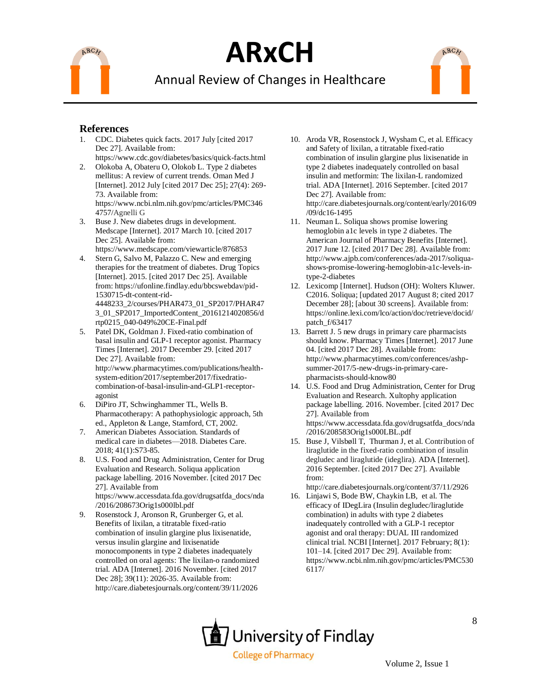

## Annual Review of Changes in Healthcare



- 1. CDC. Diabetes quick facts. 2017 July [cited 2017 Dec 27]. Available from:
- https://www.cdc.gov/diabetes/basics/quick-facts.html 2. Olokoba A, Obateru O, Olokob L. Type 2 diabetes mellitus: A review of current trends. Oman Med J [Internet]. 2012 July [cited 2017 Dec 25]; 27(4): 269- 73. Available from: https://www.ncbi.nlm.nih.gov/pmc/articles/PMC346 4757/Agnelli G
- 3. Buse J. New diabetes drugs in development. Medscape [Internet]. 2017 March 10. [cited 2017 Dec 25]. Available from:

https://www.medscape.com/viewarticle/876853 4. Stern G, Salvo M, Palazzo C. New and emerging therapies for the treatment of diabetes. Drug Topics [Internet]. 2015. [cited 2017 Dec 25]. Available

from: https://ufonline.findlay.edu/bbcswebdav/pid-1530715-dt-content-rid-4448233\_2/courses/PHAR473\_01\_SP2017/PHAR47 3\_01\_SP2017\_ImportedContent\_20161214020856/d

- rtp0215\_040-049%20CE-Final.pdf 5. Patel DK, Goldman J. Fixed-ratio combination of basal insulin and GLP-1 receptor agonist. Pharmacy Times [Internet]. 2017 December 29. [cited 2017 Dec 27]. Available from: http://www.pharmacytimes.com/publications/healthsystem-edition/2017/september2017/fixedratiocombination-of-basal-insulin-and-GLP1-receptor-
- agonist 6. DiPiro JT, Schwinghammer TL, Wells B. Pharmacotherapy: A pathophysiologic approach, 5th ed., Appleton & Lange, Stamford, CT, 2002.
- 7. American Diabetes Association. Standards of medical care in diabetes—2018. Diabetes Care. 2018; 41(1):S73-85.
- 8. U.S. Food and Drug Administration, Center for Drug Evaluation and Research. Soliqua application package labelling. 2016 November. [cited 2017 Dec 27]. Available from https://www.accessdata.fda.gov/drugsatfda\_docs/nda /2016/208673Orig1s000lbl.pdf
- 9. Rosenstock J, Aronson R, Grunberger G, et al. Benefits of lixilan, a titratable fixed-ratio combination of insulin glargine plus lixisenatide, versus insulin glargine and lixisenatide monocomponents in type 2 diabetes inadequately controlled on oral agents: The lixilan-o randomized trial. ADA [Internet]. 2016 November. [cited 2017 Dec 28]; 39(11): 2026-35. Available from: http://care.diabetesjournals.org/content/39/11/2026

10. Aroda VR, Rosenstock J, Wysham C, et al. Efficacy and Safety of lixilan, a titratable fixed-ratio combination of insulin glargine plus lixisenatide in type 2 diabetes inadequately controlled on basal insulin and metformin: The lixilan-L randomized trial. ADA [Internet]. 2016 September. [cited 2017 Dec 27]. Available from: http://care.diabetesjournals.org/content/early/2016/09 /09/dc16-1495

ARCA

- 11. Neuman L. Soliqua shows promise lowering hemoglobin a1c levels in type 2 diabetes. The American Journal of Pharmacy Benefits [Internet]. 2017 June 12. [cited 2017 Dec 28]. Available from: http://www.ajpb.com/conferences/ada-2017/soliquashows-promise-lowering-hemoglobin-a1c-levels-intype-2-diabetes
- 12. Lexicomp [Internet]. Hudson (OH): Wolters Kluwer. C2016. Soliqua; [updated 2017 August 8; cited 2017 December 28]; [about 30 screens]. Available from: https://online.lexi.com/lco/action/doc/retrieve/docid/ patch\_f/63417
- 13. Barrett J. 5 new drugs in primary care pharmacists should know. Pharmacy Times [Internet]. 2017 June 04. [cited 2017 Dec 28]. Available from: http://www.pharmacytimes.com/conferences/ashpsummer-2017/5-new-drugs-in-primary-carepharmacists-should-kno[w80](https://online.lexi.com/lco/action/doc/retrieve/docid/patch_f/6341780)
- 14. U.S. Food and Drug Administration, Center for Drug Evaluation and Research. Xultophy application package labelling. 2016. November. [cited 2017 Dec 27]. Available from https://www.accessdata.fda.gov/drugsatfda\_docs/nda /2016/208583Orig1s000LBL.pdf
- 15. Buse J, Vilsbøll T, Thurman J, et al. Contribution of liraglutide in the fixed-ratio combination of insulin degludec and liraglutide (ideglira). ADA [Internet]. 2016 September. [cited 2017 Dec 27]. Available from:

http://care.diabetesjournals.org/content/37/11/2926

16. Linjawi S, Bode BW, Chaykin LB, et al. The efficacy of IDegLira (Insulin degludec/liraglutide combination) in adults with type 2 diabetes inadequately controlled with a GLP-1 receptor agonist and oral therapy: DUAL III randomized clinical trial. NCBI [Internet]. 2017 February; 8(1): 101–14. [cited 2017 Dec 29]. Available from: https://www.ncbi.nlm.nih.gov/pmc/articles/PMC530 6117/